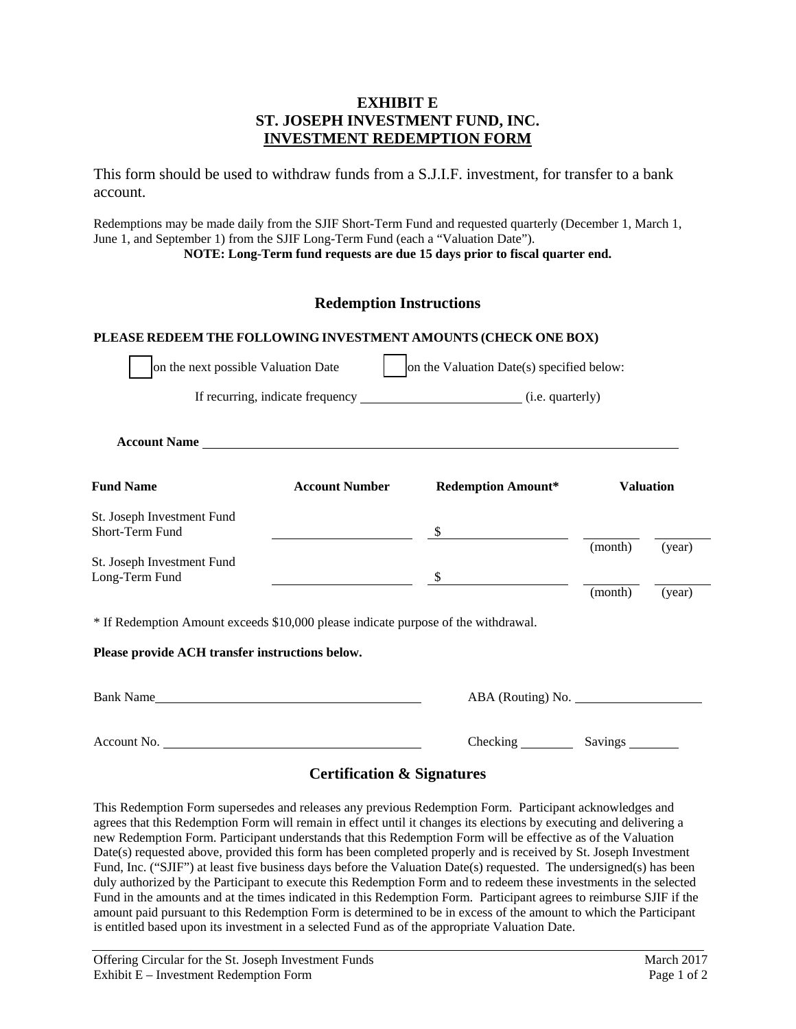## **EXHIBIT E ST. JOSEPH INVESTMENT FUND, INC. INVESTMENT REDEMPTION FORM**

This form should be used to withdraw funds from a S.J.I.F. investment, for transfer to a bank account.

Redemptions may be made daily from the SJIF Short-Term Fund and requested quarterly (December 1, March 1, June 1, and September 1) from the SJIF Long-Term Fund (each a "Valuation Date").

**NOTE: Long-Term fund requests are due 15 days prior to fiscal quarter end.** 

# **Redemption Instructions**

#### **PLEASE REDEEM THE FOLLOWING INVESTMENT AMOUNTS (CHECK ONE BOX)**

| on the next possible Valuation Date                                                |                       | on the Valuation Date(s) specified below:                                          |            |                  |
|------------------------------------------------------------------------------------|-----------------------|------------------------------------------------------------------------------------|------------|------------------|
|                                                                                    |                       | If recurring, indicate frequency _________________________________(i.e. quarterly) |            |                  |
|                                                                                    |                       |                                                                                    |            |                  |
| <b>Fund Name</b>                                                                   | <b>Account Number</b> | <b>Redemption Amount*</b>                                                          |            | <b>Valuation</b> |
| St. Joseph Investment Fund<br>Short-Term Fund                                      |                       | \$                                                                                 |            |                  |
| St. Joseph Investment Fund                                                         |                       |                                                                                    | (month)    | (year)           |
| Long-Term Fund                                                                     |                       | $\mathbb{S}$                                                                       | (month)    | (year)           |
| * If Redemption Amount exceeds \$10,000 please indicate purpose of the withdrawal. |                       |                                                                                    |            |                  |
| Please provide ACH transfer instructions below.                                    |                       |                                                                                    |            |                  |
| Bank Name                                                                          |                       | ABA (Routing) No.                                                                  |            |                  |
| Account No.                                                                        |                       |                                                                                    | Savings __ |                  |

### **Certification & Signatures**

This Redemption Form supersedes and releases any previous Redemption Form. Participant acknowledges and agrees that this Redemption Form will remain in effect until it changes its elections by executing and delivering a new Redemption Form. Participant understands that this Redemption Form will be effective as of the Valuation Date(s) requested above, provided this form has been completed properly and is received by St. Joseph Investment Fund, Inc. ("SJIF") at least five business days before the Valuation Date(s) requested. The undersigned(s) has been duly authorized by the Participant to execute this Redemption Form and to redeem these investments in the selected Fund in the amounts and at the times indicated in this Redemption Form. Participant agrees to reimburse SJIF if the amount paid pursuant to this Redemption Form is determined to be in excess of the amount to which the Participant is entitled based upon its investment in a selected Fund as of the appropriate Valuation Date.